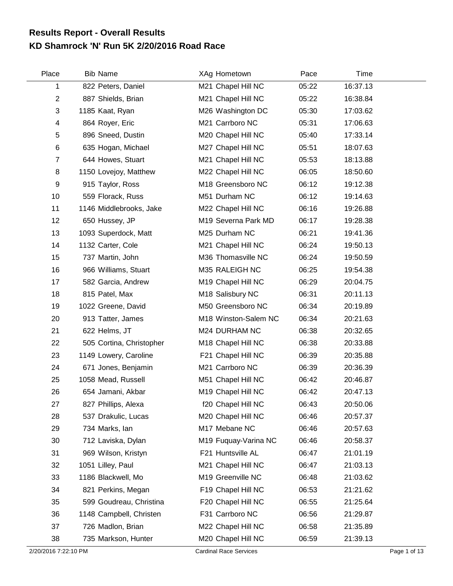## **KD Shamrock 'N' Run 5K 2/20/2016 Road Race Results Report - Overall Results**

| Place                     | <b>Bib Name</b>          | XAg Hometown         | Pace  | Time     |  |
|---------------------------|--------------------------|----------------------|-------|----------|--|
| 1                         | 822 Peters, Daniel       | M21 Chapel Hill NC   | 05:22 | 16:37.13 |  |
| $\overline{2}$            | 887 Shields, Brian       | M21 Chapel Hill NC   | 05:22 | 16:38.84 |  |
| $\ensuremath{\mathsf{3}}$ | 1185 Kaat, Ryan          | M26 Washington DC    | 05:30 | 17:03.62 |  |
| 4                         | 864 Royer, Eric          | M21 Carrboro NC      | 05:31 | 17:06.63 |  |
| 5                         | 896 Sneed, Dustin        | M20 Chapel Hill NC   | 05:40 | 17:33.14 |  |
| $\,6$                     | 635 Hogan, Michael       | M27 Chapel Hill NC   | 05:51 | 18:07.63 |  |
| $\overline{7}$            | 644 Howes, Stuart        | M21 Chapel Hill NC   | 05:53 | 18:13.88 |  |
| 8                         | 1150 Lovejoy, Matthew    | M22 Chapel Hill NC   | 06:05 | 18:50.60 |  |
| 9                         | 915 Taylor, Ross         | M18 Greensboro NC    | 06:12 | 19:12.38 |  |
| 10                        | 559 Florack, Russ        | M51 Durham NC        | 06:12 | 19:14.63 |  |
| 11                        | 1146 Middlebrooks, Jake  | M22 Chapel Hill NC   | 06:16 | 19:26.88 |  |
| 12                        | 650 Hussey, JP           | M19 Severna Park MD  | 06:17 | 19:28.38 |  |
| 13                        | 1093 Superdock, Matt     | M25 Durham NC        | 06:21 | 19:41.36 |  |
| 14                        | 1132 Carter, Cole        | M21 Chapel Hill NC   | 06:24 | 19:50.13 |  |
| 15                        | 737 Martin, John         | M36 Thomasville NC   | 06:24 | 19:50.59 |  |
| 16                        | 966 Williams, Stuart     | M35 RALEIGH NC       | 06:25 | 19:54.38 |  |
| 17                        | 582 Garcia, Andrew       | M19 Chapel Hill NC   | 06:29 | 20:04.75 |  |
| 18                        | 815 Patel, Max           | M18 Salisbury NC     | 06:31 | 20:11.13 |  |
| 19                        | 1022 Greene, David       | M50 Greensboro NC    | 06:34 | 20:19.89 |  |
| 20                        | 913 Tatter, James        | M18 Winston-Salem NC | 06:34 | 20:21.63 |  |
| 21                        | 622 Helms, JT            | M24 DURHAM NC        | 06:38 | 20:32.65 |  |
| 22                        | 505 Cortina, Christopher | M18 Chapel Hill NC   | 06:38 | 20:33.88 |  |
| 23                        | 1149 Lowery, Caroline    | F21 Chapel Hill NC   | 06:39 | 20:35.88 |  |
| 24                        | 671 Jones, Benjamin      | M21 Carrboro NC      | 06:39 | 20:36.39 |  |
| 25                        | 1058 Mead, Russell       | M51 Chapel Hill NC   | 06:42 | 20:46.87 |  |
| 26                        | 654 Jamani, Akbar        | M19 Chapel Hill NC   | 06:42 | 20:47.13 |  |
| 27                        | 827 Phillips, Alexa      | f20 Chapel Hill NC   | 06:43 | 20:50.06 |  |
| 28                        | 537 Drakulic, Lucas      | M20 Chapel Hill NC   | 06:46 | 20:57.37 |  |
| 29                        | 734 Marks, lan           | M17 Mebane NC        | 06:46 | 20:57.63 |  |
| 30                        | 712 Laviska, Dylan       | M19 Fuquay-Varina NC | 06:46 | 20:58.37 |  |
| 31                        | 969 Wilson, Kristyn      | F21 Huntsville AL    | 06:47 | 21:01.19 |  |
| 32                        | 1051 Lilley, Paul        | M21 Chapel Hill NC   | 06:47 | 21:03.13 |  |
| 33                        | 1186 Blackwell, Mo       | M19 Greenville NC    | 06:48 | 21:03.62 |  |
| 34                        | 821 Perkins, Megan       | F19 Chapel Hill NC   | 06:53 | 21:21.62 |  |
| 35                        | 599 Goudreau, Christina  | F20 Chapel Hill NC   | 06:55 | 21:25.64 |  |
| 36                        | 1148 Campbell, Christen  | F31 Carrboro NC      | 06:56 | 21:29.87 |  |
| 37                        | 726 Madlon, Brian        | M22 Chapel Hill NC   | 06:58 | 21:35.89 |  |
| 38                        | 735 Markson, Hunter      | M20 Chapel Hill NC   | 06:59 | 21:39.13 |  |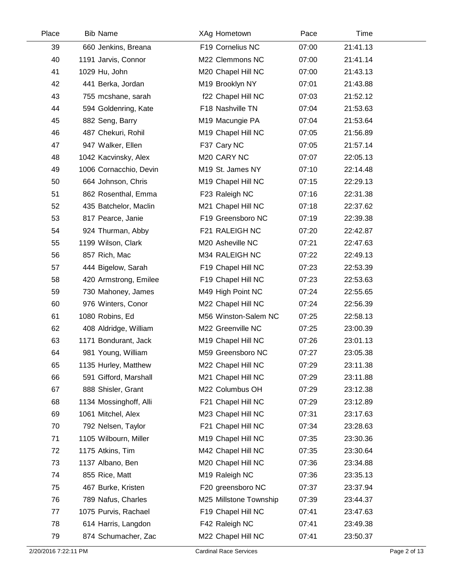| Place | <b>Bib Name</b>        | XAg Hometown            | Pace  | Time     |  |
|-------|------------------------|-------------------------|-------|----------|--|
| 39    | 660 Jenkins, Breana    | F19 Cornelius NC        | 07:00 | 21:41.13 |  |
| 40    | 1191 Jarvis, Connor    | M22 Clemmons NC         | 07:00 | 21:41.14 |  |
| 41    | 1029 Hu, John          | M20 Chapel Hill NC      | 07:00 | 21:43.13 |  |
| 42    | 441 Berka, Jordan      | M19 Brooklyn NY         | 07:01 | 21:43.88 |  |
| 43    | 755 mcshane, sarah     | f22 Chapel Hill NC      | 07:03 | 21:52.12 |  |
| 44    | 594 Goldenring, Kate   | F18 Nashville TN        | 07:04 | 21:53.63 |  |
| 45    | 882 Seng, Barry        | M19 Macungie PA         | 07:04 | 21:53.64 |  |
| 46    | 487 Chekuri, Rohil     | M19 Chapel Hill NC      | 07:05 | 21:56.89 |  |
| 47    | 947 Walker, Ellen      | F37 Cary NC             | 07:05 | 21:57.14 |  |
| 48    | 1042 Kacvinsky, Alex   | M <sub>20</sub> CARY NC | 07:07 | 22:05.13 |  |
| 49    | 1006 Cornacchio, Devin | M19 St. James NY        | 07:10 | 22:14.48 |  |
| 50    | 664 Johnson, Chris     | M19 Chapel Hill NC      | 07:15 | 22:29.13 |  |
| 51    | 862 Rosenthal, Emma    | F23 Raleigh NC          | 07:16 | 22:31.38 |  |
| 52    | 435 Batchelor, Maclin  | M21 Chapel Hill NC      | 07:18 | 22:37.62 |  |
| 53    | 817 Pearce, Janie      | F19 Greensboro NC       | 07:19 | 22:39.38 |  |
| 54    | 924 Thurman, Abby      | F21 RALEIGH NC          | 07:20 | 22:42.87 |  |
| 55    | 1199 Wilson, Clark     | M20 Asheville NC        | 07:21 | 22:47.63 |  |
| 56    | 857 Rich, Mac          | M34 RALEIGH NC          | 07:22 | 22:49.13 |  |
| 57    | 444 Bigelow, Sarah     | F19 Chapel Hill NC      | 07:23 | 22:53.39 |  |
| 58    | 420 Armstrong, Emilee  | F19 Chapel Hill NC      | 07:23 | 22:53.63 |  |
| 59    | 730 Mahoney, James     | M49 High Point NC       | 07:24 | 22:55.65 |  |
| 60    | 976 Winters, Conor     | M22 Chapel Hill NC      | 07:24 | 22:56.39 |  |
| 61    | 1080 Robins, Ed        | M56 Winston-Salem NC    | 07:25 | 22:58.13 |  |
| 62    | 408 Aldridge, William  | M22 Greenville NC       | 07:25 | 23:00.39 |  |
| 63    | 1171 Bondurant, Jack   | M19 Chapel Hill NC      | 07:26 | 23:01.13 |  |
| 64    | 981 Young, William     | M59 Greensboro NC       | 07:27 | 23:05.38 |  |
| 65    | 1135 Hurley, Matthew   | M22 Chapel Hill NC      | 07:29 | 23:11.38 |  |
| 66    | 591 Gifford, Marshall  | M21 Chapel Hill NC      | 07:29 | 23:11.88 |  |
| 67    | 888 Shisler, Grant     | M22 Columbus OH         | 07:29 | 23:12.38 |  |
| 68    | 1134 Mossinghoff, Alli | F21 Chapel Hill NC      | 07:29 | 23:12.89 |  |
| 69    | 1061 Mitchel, Alex     | M23 Chapel Hill NC      | 07:31 | 23:17.63 |  |
| 70    | 792 Nelsen, Taylor     | F21 Chapel Hill NC      | 07:34 | 23:28.63 |  |
| 71    | 1105 Wilbourn, Miller  | M19 Chapel Hill NC      | 07:35 | 23:30.36 |  |
| 72    | 1175 Atkins, Tim       | M42 Chapel Hill NC      | 07:35 | 23:30.64 |  |
| 73    | 1137 Albano, Ben       | M20 Chapel Hill NC      | 07:36 | 23:34.88 |  |
| 74    | 855 Rice, Matt         | M19 Raleigh NC          | 07:36 | 23:35.13 |  |
| 75    | 467 Burke, Kristen     | F20 greensboro NC       | 07:37 | 23:37.94 |  |
| 76    | 789 Nafus, Charles     | M25 Millstone Township  | 07:39 | 23:44.37 |  |
| 77    | 1075 Purvis, Rachael   | F19 Chapel Hill NC      | 07:41 | 23:47.63 |  |
| 78    | 614 Harris, Langdon    | F42 Raleigh NC          | 07:41 | 23:49.38 |  |
| 79    | 874 Schumacher, Zac    | M22 Chapel Hill NC      | 07:41 | 23:50.37 |  |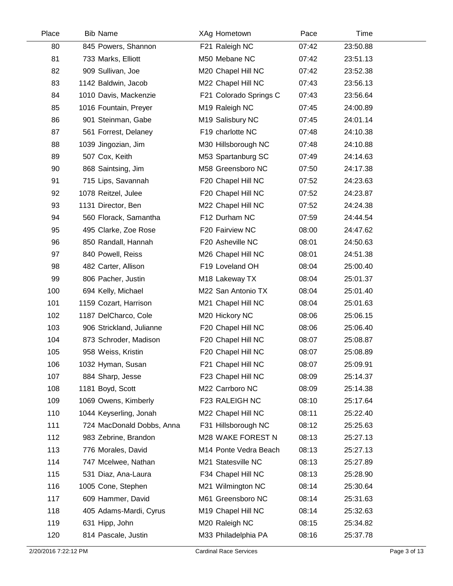| Place | <b>Bib Name</b>           | XAg Hometown           | Pace  | Time     |  |
|-------|---------------------------|------------------------|-------|----------|--|
| 80    | 845 Powers, Shannon       | F21 Raleigh NC         | 07:42 | 23:50.88 |  |
| 81    | 733 Marks, Elliott        | M50 Mebane NC          | 07:42 | 23:51.13 |  |
| 82    | 909 Sullivan, Joe         | M20 Chapel Hill NC     | 07:42 | 23:52.38 |  |
| 83    | 1142 Baldwin, Jacob       | M22 Chapel Hill NC     | 07:43 | 23:56.13 |  |
| 84    | 1010 Davis, Mackenzie     | F21 Colorado Springs C | 07:43 | 23:56.64 |  |
| 85    | 1016 Fountain, Preyer     | M19 Raleigh NC         | 07:45 | 24:00.89 |  |
| 86    | 901 Steinman, Gabe        | M19 Salisbury NC       | 07:45 | 24:01.14 |  |
| 87    | 561 Forrest, Delaney      | F19 charlotte NC       | 07:48 | 24:10.38 |  |
| 88    | 1039 Jingozian, Jim       | M30 Hillsborough NC    | 07:48 | 24:10.88 |  |
| 89    | 507 Cox, Keith            | M53 Spartanburg SC     | 07:49 | 24:14.63 |  |
| 90    | 868 Saintsing, Jim        | M58 Greensboro NC      | 07:50 | 24:17.38 |  |
| 91    | 715 Lips, Savannah        | F20 Chapel Hill NC     | 07:52 | 24:23.63 |  |
| 92    | 1078 Reitzel, Julee       | F20 Chapel Hill NC     | 07:52 | 24:23.87 |  |
| 93    | 1131 Director, Ben        | M22 Chapel Hill NC     | 07:52 | 24:24.38 |  |
| 94    | 560 Florack, Samantha     | F12 Durham NC          | 07:59 | 24:44.54 |  |
| 95    | 495 Clarke, Zoe Rose      | F20 Fairview NC        | 08:00 | 24:47.62 |  |
| 96    | 850 Randall, Hannah       | F20 Asheville NC       | 08:01 | 24:50.63 |  |
| 97    | 840 Powell, Reiss         | M26 Chapel Hill NC     | 08:01 | 24:51.38 |  |
| 98    | 482 Carter, Allison       | F19 Loveland OH        | 08:04 | 25:00.40 |  |
| 99    | 806 Pacher, Justin        | M18 Lakeway TX         | 08:04 | 25:01.37 |  |
| 100   | 694 Kelly, Michael        | M22 San Antonio TX     | 08:04 | 25:01.40 |  |
| 101   | 1159 Cozart, Harrison     | M21 Chapel Hill NC     | 08:04 | 25:01.63 |  |
| 102   | 1187 DelCharco, Cole      | M20 Hickory NC         | 08:06 | 25:06.15 |  |
| 103   | 906 Strickland, Julianne  | F20 Chapel Hill NC     | 08:06 | 25:06.40 |  |
| 104   | 873 Schroder, Madison     | F20 Chapel Hill NC     | 08:07 | 25:08.87 |  |
| 105   | 958 Weiss, Kristin        | F20 Chapel Hill NC     | 08:07 | 25:08.89 |  |
| 106   | 1032 Hyman, Susan         | F21 Chapel Hill NC     | 08:07 | 25:09.91 |  |
| 107   | 884 Sharp, Jesse          | F23 Chapel Hill NC     | 08:09 | 25:14.37 |  |
| 108   | 1181 Boyd, Scott          | M22 Carrboro NC        | 08:09 | 25:14.38 |  |
| 109   | 1069 Owens, Kimberly      | F23 RALEIGH NC         | 08:10 | 25:17.64 |  |
| 110   | 1044 Keyserling, Jonah    | M22 Chapel Hill NC     | 08:11 | 25:22.40 |  |
| 111   | 724 MacDonald Dobbs, Anna | F31 Hillsborough NC    | 08:12 | 25:25.63 |  |
| 112   | 983 Zebrine, Brandon      | M28 WAKE FOREST N      | 08:13 | 25:27.13 |  |
| 113   | 776 Morales, David        | M14 Ponte Vedra Beach  | 08:13 | 25:27.13 |  |
| 114   | 747 Mcelwee, Nathan       | M21 Statesville NC     | 08:13 | 25:27.89 |  |
| 115   | 531 Diaz, Ana-Laura       | F34 Chapel Hill NC     | 08:13 | 25:28.90 |  |
| 116   | 1005 Cone, Stephen        | M21 Wilmington NC      | 08:14 | 25:30.64 |  |
| 117   | 609 Hammer, David         | M61 Greensboro NC      | 08:14 | 25:31.63 |  |
| 118   | 405 Adams-Mardi, Cyrus    | M19 Chapel Hill NC     | 08:14 | 25:32.63 |  |
| 119   | 631 Hipp, John            | M20 Raleigh NC         | 08:15 | 25:34.82 |  |
| 120   | 814 Pascale, Justin       | M33 Philadelphia PA    | 08:16 | 25:37.78 |  |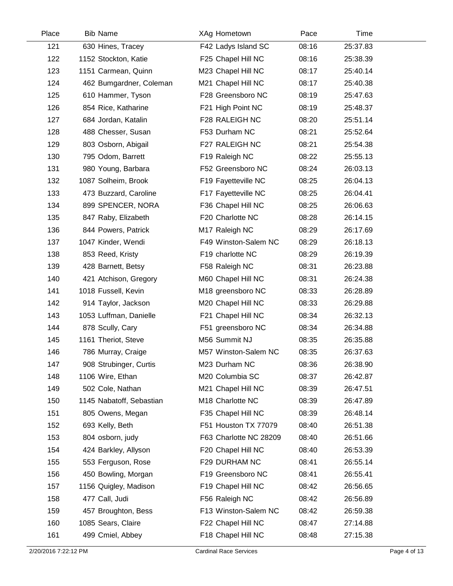| Place | <b>Bib Name</b>          | XAg Hometown           | Pace  | Time     |  |
|-------|--------------------------|------------------------|-------|----------|--|
| 121   | 630 Hines, Tracey        | F42 Ladys Island SC    | 08:16 | 25:37.83 |  |
| 122   | 1152 Stockton, Katie     | F25 Chapel Hill NC     | 08:16 | 25:38.39 |  |
| 123   | 1151 Carmean, Quinn      | M23 Chapel Hill NC     | 08:17 | 25:40.14 |  |
| 124   | 462 Bumgardner, Coleman  | M21 Chapel Hill NC     | 08:17 | 25:40.38 |  |
| 125   | 610 Hammer, Tyson        | F28 Greensboro NC      | 08:19 | 25:47.63 |  |
| 126   | 854 Rice, Katharine      | F21 High Point NC      | 08:19 | 25:48.37 |  |
| 127   | 684 Jordan, Katalin      | F28 RALEIGH NC         | 08:20 | 25:51.14 |  |
| 128   | 488 Chesser, Susan       | F53 Durham NC          | 08:21 | 25:52.64 |  |
| 129   | 803 Osborn, Abigail      | F27 RALEIGH NC         | 08:21 | 25:54.38 |  |
| 130   | 795 Odom, Barrett        | F19 Raleigh NC         | 08:22 | 25:55.13 |  |
| 131   | 980 Young, Barbara       | F52 Greensboro NC      | 08:24 | 26:03.13 |  |
| 132   | 1087 Solheim, Brook      | F19 Fayetteville NC    | 08:25 | 26:04.13 |  |
| 133   | 473 Buzzard, Caroline    | F17 Fayetteville NC    | 08:25 | 26:04.41 |  |
| 134   | 899 SPENCER, NORA        | F36 Chapel Hill NC     | 08:25 | 26:06.63 |  |
| 135   | 847 Raby, Elizabeth      | F20 Charlotte NC       | 08:28 | 26:14.15 |  |
| 136   | 844 Powers, Patrick      | M17 Raleigh NC         | 08:29 | 26:17.69 |  |
| 137   | 1047 Kinder, Wendi       | F49 Winston-Salem NC   | 08:29 | 26:18.13 |  |
| 138   | 853 Reed, Kristy         | F19 charlotte NC       | 08:29 | 26:19.39 |  |
| 139   | 428 Barnett, Betsy       | F58 Raleigh NC         | 08:31 | 26:23.88 |  |
| 140   | 421 Atchison, Gregory    | M60 Chapel Hill NC     | 08:31 | 26:24.38 |  |
| 141   | 1018 Fussell, Kevin      | M18 greensboro NC      | 08:33 | 26:28.89 |  |
| 142   | 914 Taylor, Jackson      | M20 Chapel Hill NC     | 08:33 | 26:29.88 |  |
| 143   | 1053 Luffman, Danielle   | F21 Chapel Hill NC     | 08:34 | 26:32.13 |  |
| 144   | 878 Scully, Cary         | F51 greensboro NC      | 08:34 | 26:34.88 |  |
| 145   | 1161 Theriot, Steve      | M56 Summit NJ          | 08:35 | 26:35.88 |  |
| 146   | 786 Murray, Craige       | M57 Winston-Salem NC   | 08:35 | 26:37.63 |  |
| 147   | 908 Strubinger, Curtis   | M23 Durham NC          | 08:36 | 26:38.90 |  |
| 148   | 1106 Wire, Ethan         | M20 Columbia SC        | 08:37 | 26:42.87 |  |
| 149   | 502 Cole, Nathan         | M21 Chapel Hill NC     | 08:39 | 26:47.51 |  |
| 150   | 1145 Nabatoff, Sebastian | M18 Charlotte NC       | 08:39 | 26:47.89 |  |
| 151   | 805 Owens, Megan         | F35 Chapel Hill NC     | 08:39 | 26:48.14 |  |
| 152   | 693 Kelly, Beth          | F51 Houston TX 77079   | 08:40 | 26:51.38 |  |
| 153   | 804 osborn, judy         | F63 Charlotte NC 28209 | 08:40 | 26:51.66 |  |
| 154   | 424 Barkley, Allyson     | F20 Chapel Hill NC     | 08:40 | 26:53.39 |  |
| 155   | 553 Ferguson, Rose       | F29 DURHAM NC          | 08:41 | 26:55.14 |  |
| 156   | 450 Bowling, Morgan      | F19 Greensboro NC      | 08:41 | 26:55.41 |  |
| 157   | 1156 Quigley, Madison    | F19 Chapel Hill NC     | 08:42 | 26:56.65 |  |
| 158   | 477 Call, Judi           | F56 Raleigh NC         | 08:42 | 26:56.89 |  |
| 159   | 457 Broughton, Bess      | F13 Winston-Salem NC   | 08:42 | 26:59.38 |  |
| 160   | 1085 Sears, Claire       | F22 Chapel Hill NC     | 08:47 | 27:14.88 |  |
| 161   | 499 Cmiel, Abbey         | F18 Chapel Hill NC     | 08:48 | 27:15.38 |  |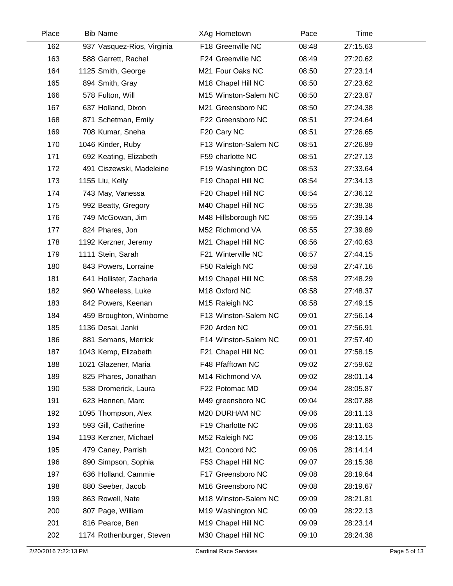| Place | <b>Bib Name</b>            | XAg Hometown         | Pace  | Time     |  |
|-------|----------------------------|----------------------|-------|----------|--|
| 162   | 937 Vasquez-Rios, Virginia | F18 Greenville NC    | 08:48 | 27:15.63 |  |
| 163   | 588 Garrett, Rachel        | F24 Greenville NC    | 08:49 | 27:20.62 |  |
| 164   | 1125 Smith, George         | M21 Four Oaks NC     | 08:50 | 27:23.14 |  |
| 165   | 894 Smith, Gray            | M18 Chapel Hill NC   | 08:50 | 27:23.62 |  |
| 166   | 578 Fulton, Will           | M15 Winston-Salem NC | 08:50 | 27:23.87 |  |
| 167   | 637 Holland, Dixon         | M21 Greensboro NC    | 08:50 | 27:24.38 |  |
| 168   | 871 Schetman, Emily        | F22 Greensboro NC    | 08:51 | 27:24.64 |  |
| 169   | 708 Kumar, Sneha           | F20 Cary NC          | 08:51 | 27:26.65 |  |
| 170   | 1046 Kinder, Ruby          | F13 Winston-Salem NC | 08:51 | 27:26.89 |  |
| 171   | 692 Keating, Elizabeth     | F59 charlotte NC     | 08:51 | 27:27.13 |  |
| 172   | 491 Ciszewski, Madeleine   | F19 Washington DC    | 08:53 | 27:33.64 |  |
| 173   | 1155 Liu, Kelly            | F19 Chapel Hill NC   | 08:54 | 27:34.13 |  |
| 174   | 743 May, Vanessa           | F20 Chapel Hill NC   | 08:54 | 27:36.12 |  |
| 175   | 992 Beatty, Gregory        | M40 Chapel Hill NC   | 08:55 | 27:38.38 |  |
| 176   | 749 McGowan, Jim           | M48 Hillsborough NC  | 08:55 | 27:39.14 |  |
| 177   | 824 Phares, Jon            | M52 Richmond VA      | 08:55 | 27:39.89 |  |
| 178   | 1192 Kerzner, Jeremy       | M21 Chapel Hill NC   | 08:56 | 27:40.63 |  |
| 179   | 1111 Stein, Sarah          | F21 Winterville NC   | 08:57 | 27:44.15 |  |
| 180   | 843 Powers, Lorraine       | F50 Raleigh NC       | 08:58 | 27:47.16 |  |
| 181   | 641 Hollister, Zacharia    | M19 Chapel Hill NC   | 08:58 | 27:48.29 |  |
| 182   | 960 Wheeless, Luke         | M18 Oxford NC        | 08:58 | 27:48.37 |  |
| 183   | 842 Powers, Keenan         | M15 Raleigh NC       | 08:58 | 27:49.15 |  |
| 184   | 459 Broughton, Winborne    | F13 Winston-Salem NC | 09:01 | 27:56.14 |  |
| 185   | 1136 Desai, Janki          | F20 Arden NC         | 09:01 | 27:56.91 |  |
| 186   | 881 Semans, Merrick        | F14 Winston-Salem NC | 09:01 | 27:57.40 |  |
| 187   | 1043 Kemp, Elizabeth       | F21 Chapel Hill NC   | 09:01 | 27:58.15 |  |
| 188   | 1021 Glazener, Maria       | F48 Pfafftown NC     | 09:02 | 27:59.62 |  |
| 189   | 825 Phares, Jonathan       | M14 Richmond VA      | 09:02 | 28:01.14 |  |
| 190   | 538 Dromerick, Laura       | F22 Potomac MD       | 09:04 | 28:05.87 |  |
| 191   | 623 Hennen, Marc           | M49 greensboro NC    | 09:04 | 28:07.88 |  |
| 192   | 1095 Thompson, Alex        | M20 DURHAM NC        | 09:06 | 28:11.13 |  |
| 193   | 593 Gill, Catherine        | F19 Charlotte NC     | 09:06 | 28:11.63 |  |
| 194   | 1193 Kerzner, Michael      | M52 Raleigh NC       | 09:06 | 28:13.15 |  |
| 195   | 479 Caney, Parrish         | M21 Concord NC       | 09:06 | 28:14.14 |  |
| 196   | 890 Simpson, Sophia        | F53 Chapel Hill NC   | 09:07 | 28:15.38 |  |
| 197   | 636 Holland, Cammie        | F17 Greensboro NC    | 09:08 | 28:19.64 |  |
| 198   | 880 Seeber, Jacob          | M16 Greensboro NC    | 09:08 | 28:19.67 |  |
| 199   | 863 Rowell, Nate           | M18 Winston-Salem NC | 09:09 | 28:21.81 |  |
| 200   | 807 Page, William          | M19 Washington NC    | 09:09 | 28:22.13 |  |
| 201   | 816 Pearce, Ben            | M19 Chapel Hill NC   | 09:09 | 28:23.14 |  |
| 202   | 1174 Rothenburger, Steven  | M30 Chapel Hill NC   | 09:10 | 28:24.38 |  |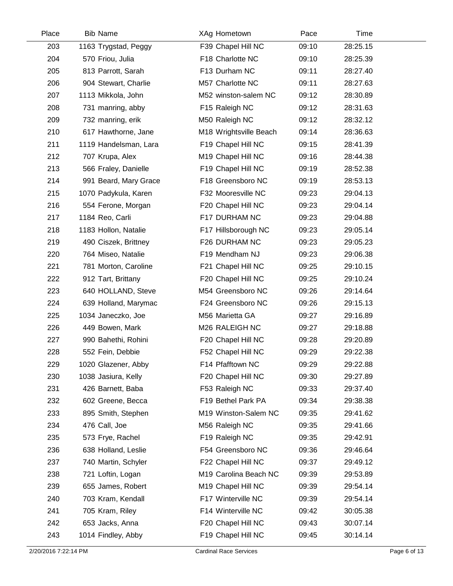| Place | <b>Bib Name</b>       | XAg Hometown           | Pace  | Time     |  |
|-------|-----------------------|------------------------|-------|----------|--|
| 203   | 1163 Trygstad, Peggy  | F39 Chapel Hill NC     | 09:10 | 28:25.15 |  |
| 204   | 570 Friou, Julia      | F18 Charlotte NC       | 09:10 | 28:25.39 |  |
| 205   | 813 Parrott, Sarah    | F13 Durham NC          | 09:11 | 28:27.40 |  |
| 206   | 904 Stewart, Charlie  | M57 Charlotte NC       | 09:11 | 28:27.63 |  |
| 207   | 1113 Mikkola, John    | M52 winston-salem NC   | 09:12 | 28:30.89 |  |
| 208   | 731 manring, abby     | F15 Raleigh NC         | 09:12 | 28:31.63 |  |
| 209   | 732 manring, erik     | M50 Raleigh NC         | 09:12 | 28:32.12 |  |
| 210   | 617 Hawthorne, Jane   | M18 Wrightsville Beach | 09:14 | 28:36.63 |  |
| 211   | 1119 Handelsman, Lara | F19 Chapel Hill NC     | 09:15 | 28:41.39 |  |
| 212   | 707 Krupa, Alex       | M19 Chapel Hill NC     | 09:16 | 28:44.38 |  |
| 213   | 566 Fraley, Danielle  | F19 Chapel Hill NC     | 09:19 | 28:52.38 |  |
| 214   | 991 Beard, Mary Grace | F18 Greensboro NC      | 09:19 | 28:53.13 |  |
| 215   | 1070 Padykula, Karen  | F32 Mooresville NC     | 09:23 | 29:04.13 |  |
| 216   | 554 Ferone, Morgan    | F20 Chapel Hill NC     | 09:23 | 29:04.14 |  |
| 217   | 1184 Reo, Carli       | F17 DURHAM NC          | 09:23 | 29:04.88 |  |
| 218   | 1183 Hollon, Natalie  | F17 Hillsborough NC    | 09:23 | 29:05.14 |  |
| 219   | 490 Ciszek, Brittney  | F26 DURHAM NC          | 09:23 | 29:05.23 |  |
| 220   | 764 Miseo, Natalie    | F19 Mendham NJ         | 09:23 | 29:06.38 |  |
| 221   | 781 Morton, Caroline  | F21 Chapel Hill NC     | 09:25 | 29:10.15 |  |
| 222   | 912 Tart, Brittany    | F20 Chapel Hill NC     | 09:25 | 29:10.24 |  |
| 223   | 640 HOLLAND, Steve    | M54 Greensboro NC      | 09:26 | 29:14.64 |  |
| 224   | 639 Holland, Marymac  | F24 Greensboro NC      | 09:26 | 29:15.13 |  |
| 225   | 1034 Janeczko, Joe    | M56 Marietta GA        | 09:27 | 29:16.89 |  |
| 226   | 449 Bowen, Mark       | M26 RALEIGH NC         | 09:27 | 29:18.88 |  |
| 227   | 990 Bahethi, Rohini   | F20 Chapel Hill NC     | 09:28 | 29:20.89 |  |
| 228   | 552 Fein, Debbie      | F52 Chapel Hill NC     | 09:29 | 29:22.38 |  |
| 229   | 1020 Glazener, Abby   | F14 Pfafftown NC       | 09:29 | 29:22.88 |  |
| 230   | 1038 Jasiura, Kelly   | F20 Chapel Hill NC     | 09:30 | 29:27.89 |  |
| 231   | 426 Barnett, Baba     | F53 Raleigh NC         | 09:33 | 29:37.40 |  |
| 232   | 602 Greene, Becca     | F19 Bethel Park PA     | 09:34 | 29:38.38 |  |
| 233   | 895 Smith, Stephen    | M19 Winston-Salem NC   | 09:35 | 29:41.62 |  |
| 234   | 476 Call, Joe         | M56 Raleigh NC         | 09:35 | 29:41.66 |  |
| 235   | 573 Frye, Rachel      | F19 Raleigh NC         | 09:35 | 29:42.91 |  |
| 236   | 638 Holland, Leslie   | F54 Greensboro NC      | 09:36 | 29:46.64 |  |
| 237   | 740 Martin, Schyler   | F22 Chapel Hill NC     | 09:37 | 29:49.12 |  |
| 238   | 721 Loftin, Logan     | M19 Carolina Beach NC  | 09:39 | 29:53.89 |  |
| 239   | 655 James, Robert     | M19 Chapel Hill NC     | 09:39 | 29:54.14 |  |
| 240   | 703 Kram, Kendall     | F17 Winterville NC     | 09:39 | 29:54.14 |  |
| 241   | 705 Kram, Riley       | F14 Winterville NC     | 09:42 | 30:05.38 |  |
| 242   | 653 Jacks, Anna       | F20 Chapel Hill NC     | 09:43 | 30:07.14 |  |
| 243   | 1014 Findley, Abby    | F19 Chapel Hill NC     | 09:45 | 30:14.14 |  |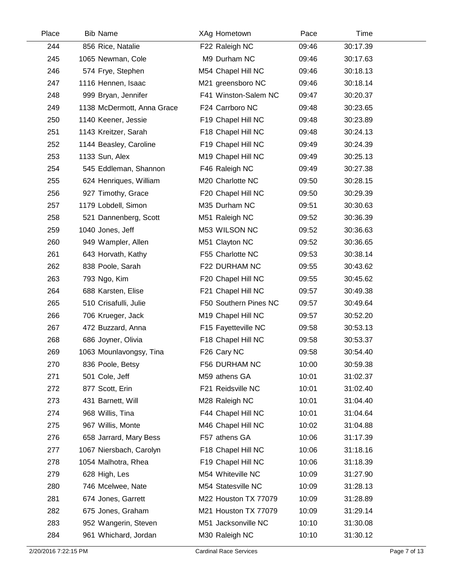| Place | <b>Bib Name</b>            | XAg Hometown          | Pace  | Time     |  |
|-------|----------------------------|-----------------------|-------|----------|--|
| 244   | 856 Rice, Natalie          | F22 Raleigh NC        | 09:46 | 30:17.39 |  |
| 245   | 1065 Newman, Cole          | M9 Durham NC          | 09:46 | 30:17.63 |  |
| 246   | 574 Frye, Stephen          | M54 Chapel Hill NC    | 09:46 | 30:18.13 |  |
| 247   | 1116 Hennen, Isaac         | M21 greensboro NC     | 09:46 | 30:18.14 |  |
| 248   | 999 Bryan, Jennifer        | F41 Winston-Salem NC  | 09:47 | 30:20.37 |  |
| 249   | 1138 McDermott, Anna Grace | F24 Carrboro NC       | 09:48 | 30:23.65 |  |
| 250   | 1140 Keener, Jessie        | F19 Chapel Hill NC    | 09:48 | 30:23.89 |  |
| 251   | 1143 Kreitzer, Sarah       | F18 Chapel Hill NC    | 09:48 | 30:24.13 |  |
| 252   | 1144 Beasley, Caroline     | F19 Chapel Hill NC    | 09:49 | 30:24.39 |  |
| 253   | 1133 Sun, Alex             | M19 Chapel Hill NC    | 09:49 | 30:25.13 |  |
| 254   | 545 Eddleman, Shannon      | F46 Raleigh NC        | 09:49 | 30:27.38 |  |
| 255   | 624 Henriques, William     | M20 Charlotte NC      | 09:50 | 30:28.15 |  |
| 256   | 927 Timothy, Grace         | F20 Chapel Hill NC    | 09:50 | 30:29.39 |  |
| 257   | 1179 Lobdell, Simon        | M35 Durham NC         | 09:51 | 30:30.63 |  |
| 258   | 521 Dannenberg, Scott      | M51 Raleigh NC        | 09:52 | 30:36.39 |  |
| 259   | 1040 Jones, Jeff           | M53 WILSON NC         | 09:52 | 30:36.63 |  |
| 260   | 949 Wampler, Allen         | M51 Clayton NC        | 09:52 | 30:36.65 |  |
| 261   | 643 Horvath, Kathy         | F55 Charlotte NC      | 09:53 | 30:38.14 |  |
| 262   | 838 Poole, Sarah           | F22 DURHAM NC         | 09:55 | 30:43.62 |  |
| 263   | 793 Ngo, Kim               | F20 Chapel Hill NC    | 09:55 | 30:45.62 |  |
| 264   | 688 Karsten, Elise         | F21 Chapel Hill NC    | 09:57 | 30:49.38 |  |
| 265   | 510 Crisafulli, Julie      | F50 Southern Pines NC | 09:57 | 30:49.64 |  |
| 266   | 706 Krueger, Jack          | M19 Chapel Hill NC    | 09:57 | 30:52.20 |  |
| 267   | 472 Buzzard, Anna          | F15 Fayetteville NC   | 09:58 | 30:53.13 |  |
| 268   | 686 Joyner, Olivia         | F18 Chapel Hill NC    | 09:58 | 30:53.37 |  |
| 269   | 1063 Mounlavongsy, Tina    | F26 Cary NC           | 09:58 | 30:54.40 |  |
| 270   | 836 Poole, Betsy           | F56 DURHAM NC         | 10:00 | 30:59.38 |  |
| 271   | 501 Cole, Jeff             | M59 athens GA         | 10:01 | 31:02.37 |  |
| 272   | 877 Scott, Erin            | F21 Reidsville NC     | 10:01 | 31:02.40 |  |
| 273   | 431 Barnett, Will          | M28 Raleigh NC        | 10:01 | 31:04.40 |  |
| 274   | 968 Willis, Tina           | F44 Chapel Hill NC    | 10:01 | 31:04.64 |  |
| 275   | 967 Willis, Monte          | M46 Chapel Hill NC    | 10:02 | 31:04.88 |  |
| 276   | 658 Jarrard, Mary Bess     | F57 athens GA         | 10:06 | 31:17.39 |  |
| 277   | 1067 Niersbach, Carolyn    | F18 Chapel Hill NC    | 10:06 | 31:18.16 |  |
| 278   | 1054 Malhotra, Rhea        | F19 Chapel Hill NC    | 10:06 | 31:18.39 |  |
| 279   | 628 High, Les              | M54 Whiteville NC     | 10:09 | 31:27.90 |  |
| 280   | 746 Mcelwee, Nate          | M54 Statesville NC    | 10:09 | 31:28.13 |  |
| 281   | 674 Jones, Garrett         | M22 Houston TX 77079  | 10:09 | 31:28.89 |  |
| 282   | 675 Jones, Graham          | M21 Houston TX 77079  | 10:09 | 31:29.14 |  |
| 283   | 952 Wangerin, Steven       | M51 Jacksonville NC   | 10:10 | 31:30.08 |  |
| 284   | 961 Whichard, Jordan       | M30 Raleigh NC        | 10:10 | 31:30.12 |  |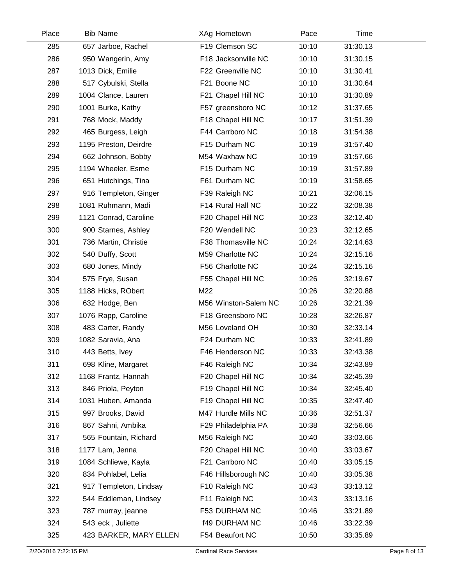| 285 | 657 Jarboe, Rachel     |                      |       |          |
|-----|------------------------|----------------------|-------|----------|
|     |                        | F19 Clemson SC       | 10:10 | 31:30.13 |
| 286 | 950 Wangerin, Amy      | F18 Jacksonville NC  | 10:10 | 31:30.15 |
| 287 | 1013 Dick, Emilie      | F22 Greenville NC    | 10:10 | 31:30.41 |
| 288 | 517 Cybulski, Stella   | F21 Boone NC         | 10:10 | 31:30.64 |
| 289 | 1004 Clance, Lauren    | F21 Chapel Hill NC   | 10:10 | 31:30.89 |
| 290 | 1001 Burke, Kathy      | F57 greensboro NC    | 10:12 | 31:37.65 |
| 291 | 768 Mock, Maddy        | F18 Chapel Hill NC   | 10:17 | 31:51.39 |
| 292 | 465 Burgess, Leigh     | F44 Carrboro NC      | 10:18 | 31:54.38 |
| 293 | 1195 Preston, Deirdre  | F15 Durham NC        | 10:19 | 31:57.40 |
| 294 | 662 Johnson, Bobby     | M54 Waxhaw NC        | 10:19 | 31:57.66 |
| 295 | 1194 Wheeler, Esme     | F15 Durham NC        | 10:19 | 31:57.89 |
| 296 | 651 Hutchings, Tina    | F61 Durham NC        | 10:19 | 31:58.65 |
| 297 | 916 Templeton, Ginger  | F39 Raleigh NC       | 10:21 | 32:06.15 |
| 298 | 1081 Ruhmann, Madi     | F14 Rural Hall NC    | 10:22 | 32:08.38 |
| 299 | 1121 Conrad, Caroline  | F20 Chapel Hill NC   | 10:23 | 32:12.40 |
| 300 | 900 Starnes, Ashley    | F20 Wendell NC       | 10:23 | 32:12.65 |
| 301 | 736 Martin, Christie   | F38 Thomasville NC   | 10:24 | 32:14.63 |
| 302 | 540 Duffy, Scott       | M59 Charlotte NC     | 10:24 | 32:15.16 |
| 303 | 680 Jones, Mindy       | F56 Charlotte NC     | 10:24 | 32:15.16 |
| 304 | 575 Frye, Susan        | F55 Chapel Hill NC   | 10:26 | 32:19.67 |
| 305 | 1188 Hicks, RObert     | M22                  | 10:26 | 32:20.88 |
| 306 | 632 Hodge, Ben         | M56 Winston-Salem NC | 10:26 | 32:21.39 |
| 307 | 1076 Rapp, Caroline    | F18 Greensboro NC    | 10:28 | 32:26.87 |
| 308 | 483 Carter, Randy      | M56 Loveland OH      | 10:30 | 32:33.14 |
| 309 | 1082 Saravia, Ana      | F24 Durham NC        | 10:33 | 32:41.89 |
| 310 | 443 Betts, Ivey        | F46 Henderson NC     | 10:33 | 32:43.38 |
| 311 | 698 Kline, Margaret    | F46 Raleigh NC       | 10:34 | 32:43.89 |
| 312 | 1168 Frantz, Hannah    | F20 Chapel Hill NC   | 10:34 | 32:45.39 |
| 313 | 846 Priola, Peyton     | F19 Chapel Hill NC   | 10:34 | 32:45.40 |
| 314 | 1031 Huben, Amanda     | F19 Chapel Hill NC   | 10:35 | 32:47.40 |
| 315 | 997 Brooks, David      | M47 Hurdle Mills NC  | 10:36 | 32:51.37 |
| 316 | 867 Sahni, Ambika      | F29 Philadelphia PA  | 10:38 | 32:56.66 |
| 317 | 565 Fountain, Richard  | M56 Raleigh NC       | 10:40 | 33:03.66 |
| 318 | 1177 Lam, Jenna        | F20 Chapel Hill NC   | 10:40 | 33:03.67 |
| 319 | 1084 Schliewe, Kayla   | F21 Carrboro NC      | 10:40 | 33:05.15 |
| 320 | 834 Pohlabel, Lelia    | F46 Hillsborough NC  | 10:40 | 33:05.38 |
| 321 | 917 Templeton, Lindsay | F10 Raleigh NC       | 10:43 | 33:13.12 |
| 322 | 544 Eddleman, Lindsey  | F11 Raleigh NC       | 10:43 | 33:13.16 |
| 323 | 787 murray, jeanne     | F53 DURHAM NC        | 10:46 | 33:21.89 |
| 324 | 543 eck, Juliette      | <b>f49 DURHAM NC</b> | 10:46 | 33:22.39 |
| 325 | 423 BARKER, MARY ELLEN | F54 Beaufort NC      | 10:50 | 33:35.89 |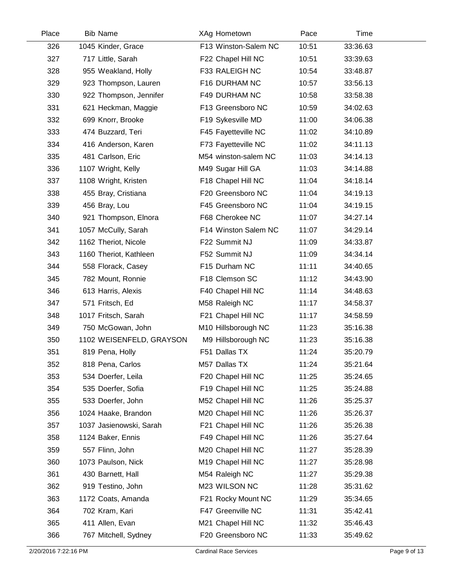| Place | <b>Bib Name</b>          | XAg Hometown         | Pace  | Time     |  |
|-------|--------------------------|----------------------|-------|----------|--|
| 326   | 1045 Kinder, Grace       | F13 Winston-Salem NC | 10:51 | 33:36.63 |  |
| 327   | 717 Little, Sarah        | F22 Chapel Hill NC   | 10:51 | 33:39.63 |  |
| 328   | 955 Weakland, Holly      | F33 RALEIGH NC       | 10:54 | 33:48.87 |  |
| 329   | 923 Thompson, Lauren     | F16 DURHAM NC        | 10:57 | 33:56.13 |  |
| 330   | 922 Thompson, Jennifer   | F49 DURHAM NC        | 10:58 | 33:58.38 |  |
| 331   | 621 Heckman, Maggie      | F13 Greensboro NC    | 10:59 | 34:02.63 |  |
| 332   | 699 Knorr, Brooke        | F19 Sykesville MD    | 11:00 | 34:06.38 |  |
| 333   | 474 Buzzard, Teri        | F45 Fayetteville NC  | 11:02 | 34:10.89 |  |
| 334   | 416 Anderson, Karen      | F73 Fayetteville NC  | 11:02 | 34:11.13 |  |
| 335   | 481 Carlson, Eric        | M54 winston-salem NC | 11:03 | 34:14.13 |  |
| 336   | 1107 Wright, Kelly       | M49 Sugar Hill GA    | 11:03 | 34:14.88 |  |
| 337   | 1108 Wright, Kristen     | F18 Chapel Hill NC   | 11:04 | 34:18.14 |  |
| 338   | 455 Bray, Cristiana      | F20 Greensboro NC    | 11:04 | 34:19.13 |  |
| 339   | 456 Bray, Lou            | F45 Greensboro NC    | 11:04 | 34:19.15 |  |
| 340   | 921 Thompson, Elnora     | F68 Cherokee NC      | 11:07 | 34:27.14 |  |
| 341   | 1057 McCully, Sarah      | F14 Winston Salem NC | 11:07 | 34:29.14 |  |
| 342   | 1162 Theriot, Nicole     | F22 Summit NJ        | 11:09 | 34:33.87 |  |
| 343   | 1160 Theriot, Kathleen   | F52 Summit NJ        | 11:09 | 34:34.14 |  |
| 344   | 558 Florack, Casey       | F15 Durham NC        | 11:11 | 34:40.65 |  |
| 345   | 782 Mount, Ronnie        | F18 Clemson SC       | 11:12 | 34:43.90 |  |
| 346   | 613 Harris, Alexis       | F40 Chapel Hill NC   | 11:14 | 34:48.63 |  |
| 347   | 571 Fritsch, Ed          | M58 Raleigh NC       | 11:17 | 34:58.37 |  |
| 348   | 1017 Fritsch, Sarah      | F21 Chapel Hill NC   | 11:17 | 34:58.59 |  |
| 349   | 750 McGowan, John        | M10 Hillsborough NC  | 11:23 | 35:16.38 |  |
| 350   | 1102 WEISENFELD, GRAYSON | M9 Hillsborough NC   | 11:23 | 35:16.38 |  |
| 351   | 819 Pena, Holly          | F51 Dallas TX        | 11:24 | 35:20.79 |  |
| 352   | 818 Pena, Carlos         | M57 Dallas TX        | 11:24 | 35:21.64 |  |
| 353   | 534 Doerfer, Leila       | F20 Chapel Hill NC   | 11:25 | 35:24.65 |  |
| 354   | 535 Doerfer, Sofia       | F19 Chapel Hill NC   | 11:25 | 35:24.88 |  |
| 355   | 533 Doerfer, John        | M52 Chapel Hill NC   | 11:26 | 35:25.37 |  |
| 356   | 1024 Haake, Brandon      | M20 Chapel Hill NC   | 11:26 | 35:26.37 |  |
| 357   | 1037 Jasienowski, Sarah  | F21 Chapel Hill NC   | 11:26 | 35:26.38 |  |
| 358   | 1124 Baker, Ennis        | F49 Chapel Hill NC   | 11:26 | 35:27.64 |  |
| 359   | 557 Flinn, John          | M20 Chapel Hill NC   | 11:27 | 35:28.39 |  |
| 360   | 1073 Paulson, Nick       | M19 Chapel Hill NC   | 11:27 | 35:28.98 |  |
| 361   | 430 Barnett, Hall        | M54 Raleigh NC       | 11:27 | 35:29.38 |  |
| 362   | 919 Testino, John        | M23 WILSON NC        | 11:28 | 35:31.62 |  |
| 363   | 1172 Coats, Amanda       | F21 Rocky Mount NC   | 11:29 | 35:34.65 |  |
| 364   | 702 Kram, Kari           | F47 Greenville NC    | 11:31 | 35:42.41 |  |
| 365   | 411 Allen, Evan          | M21 Chapel Hill NC   | 11:32 | 35:46.43 |  |
| 366   | 767 Mitchell, Sydney     | F20 Greensboro NC    | 11:33 | 35:49.62 |  |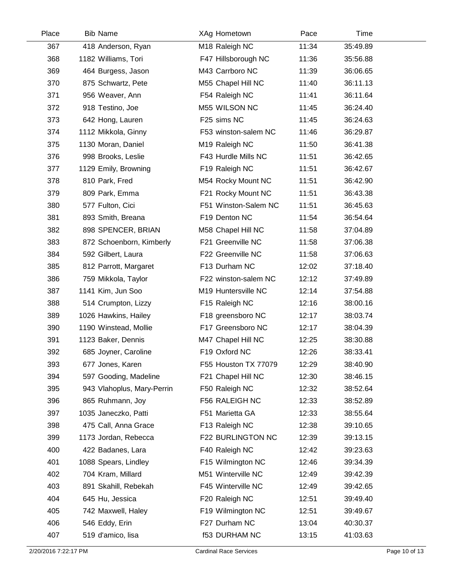| Place | <b>Bib Name</b>            | XAg Hometown         | Pace  | Time     |  |
|-------|----------------------------|----------------------|-------|----------|--|
| 367   | 418 Anderson, Ryan         | M18 Raleigh NC       | 11:34 | 35:49.89 |  |
| 368   | 1182 Williams, Tori        | F47 Hillsborough NC  | 11:36 | 35:56.88 |  |
| 369   | 464 Burgess, Jason         | M43 Carrboro NC      | 11:39 | 36:06.65 |  |
| 370   | 875 Schwartz, Pete         | M55 Chapel Hill NC   | 11:40 | 36:11.13 |  |
| 371   | 956 Weaver, Ann            | F54 Raleigh NC       | 11:41 | 36:11.64 |  |
| 372   | 918 Testino, Joe           | M55 WILSON NC        | 11:45 | 36:24.40 |  |
| 373   | 642 Hong, Lauren           | F25 sims NC          | 11:45 | 36:24.63 |  |
| 374   | 1112 Mikkola, Ginny        | F53 winston-salem NC | 11:46 | 36:29.87 |  |
| 375   | 1130 Moran, Daniel         | M19 Raleigh NC       | 11:50 | 36:41.38 |  |
| 376   | 998 Brooks, Leslie         | F43 Hurdle Mills NC  | 11:51 | 36:42.65 |  |
| 377   | 1129 Emily, Browning       | F19 Raleigh NC       | 11:51 | 36:42.67 |  |
| 378   | 810 Park, Fred             | M54 Rocky Mount NC   | 11:51 | 36:42.90 |  |
| 379   | 809 Park, Emma             | F21 Rocky Mount NC   | 11:51 | 36:43.38 |  |
| 380   | 577 Fulton, Cici           | F51 Winston-Salem NC | 11:51 | 36:45.63 |  |
| 381   | 893 Smith, Breana          | F19 Denton NC        | 11:54 | 36:54.64 |  |
| 382   | 898 SPENCER, BRIAN         | M58 Chapel Hill NC   | 11:58 | 37:04.89 |  |
| 383   | 872 Schoenborn, Kimberly   | F21 Greenville NC    | 11:58 | 37:06.38 |  |
| 384   | 592 Gilbert, Laura         | F22 Greenville NC    | 11:58 | 37:06.63 |  |
| 385   | 812 Parrott, Margaret      | F13 Durham NC        | 12:02 | 37:18.40 |  |
| 386   | 759 Mikkola, Taylor        | F22 winston-salem NC | 12:12 | 37:49.89 |  |
| 387   | 1141 Kim, Jun Soo          | M19 Huntersville NC  | 12:14 | 37:54.88 |  |
| 388   | 514 Crumpton, Lizzy        | F15 Raleigh NC       | 12:16 | 38:00.16 |  |
| 389   | 1026 Hawkins, Hailey       | F18 greensboro NC    | 12:17 | 38:03.74 |  |
| 390   | 1190 Winstead, Mollie      | F17 Greensboro NC    | 12:17 | 38:04.39 |  |
| 391   | 1123 Baker, Dennis         | M47 Chapel Hill NC   | 12:25 | 38:30.88 |  |
| 392   | 685 Joyner, Caroline       | F19 Oxford NC        | 12:26 | 38:33.41 |  |
| 393   | 677 Jones, Karen           | F55 Houston TX 77079 | 12:29 | 38:40.90 |  |
| 394   | 597 Gooding, Madeline      | F21 Chapel Hill NC   | 12:30 | 38:46.15 |  |
| 395   | 943 Vlahoplus, Mary-Perrin | F50 Raleigh NC       | 12:32 | 38:52.64 |  |
| 396   | 865 Ruhmann, Joy           | F56 RALEIGH NC       | 12:33 | 38:52.89 |  |
| 397   | 1035 Janeczko, Patti       | F51 Marietta GA      | 12:33 | 38:55.64 |  |
| 398   | 475 Call, Anna Grace       | F13 Raleigh NC       | 12:38 | 39:10.65 |  |
| 399   | 1173 Jordan, Rebecca       | F22 BURLINGTON NC    | 12:39 | 39:13.15 |  |
| 400   | 422 Badanes, Lara          | F40 Raleigh NC       | 12:42 | 39:23.63 |  |
| 401   | 1088 Spears, Lindley       | F15 Wilmington NC    | 12:46 | 39:34.39 |  |
| 402   | 704 Kram, Millard          | M51 Winterville NC   | 12:49 | 39:42.39 |  |
| 403   | 891 Skahill, Rebekah       | F45 Winterville NC   | 12:49 | 39:42.65 |  |
| 404   | 645 Hu, Jessica            | F20 Raleigh NC       | 12:51 | 39:49.40 |  |
| 405   | 742 Maxwell, Haley         | F19 Wilmington NC    | 12:51 | 39:49.67 |  |
| 406   | 546 Eddy, Erin             | F27 Durham NC        | 13:04 | 40:30.37 |  |
| 407   | 519 d'amico, lisa          | <b>f53 DURHAM NC</b> | 13:15 | 41:03.63 |  |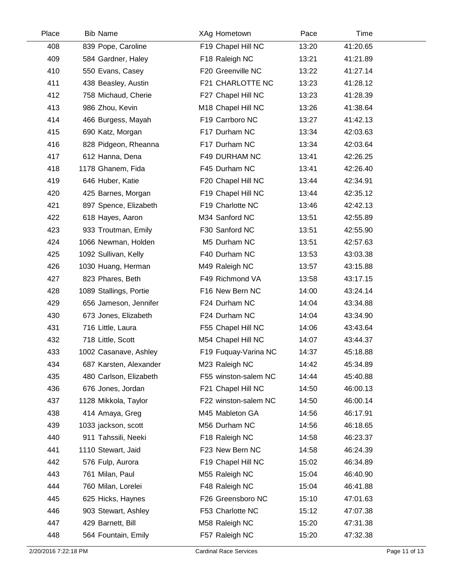| Place | <b>Bib Name</b>        | XAg Hometown         | Pace  | Time     |  |
|-------|------------------------|----------------------|-------|----------|--|
| 408   | 839 Pope, Caroline     | F19 Chapel Hill NC   | 13:20 | 41:20.65 |  |
| 409   | 584 Gardner, Haley     | F18 Raleigh NC       | 13:21 | 41:21.89 |  |
| 410   | 550 Evans, Casey       | F20 Greenville NC    | 13:22 | 41:27.14 |  |
| 411   | 438 Beasley, Austin    | F21 CHARLOTTE NC     | 13:23 | 41:28.12 |  |
| 412   | 758 Michaud, Cherie    | F27 Chapel Hill NC   | 13:23 | 41:28.39 |  |
| 413   | 986 Zhou, Kevin        | M18 Chapel Hill NC   | 13:26 | 41:38.64 |  |
| 414   | 466 Burgess, Mayah     | F19 Carrboro NC      | 13:27 | 41:42.13 |  |
| 415   | 690 Katz, Morgan       | F17 Durham NC        | 13:34 | 42:03.63 |  |
| 416   | 828 Pidgeon, Rheanna   | F17 Durham NC        | 13:34 | 42:03.64 |  |
| 417   | 612 Hanna, Dena        | F49 DURHAM NC        | 13:41 | 42:26.25 |  |
| 418   | 1178 Ghanem, Fida      | F45 Durham NC        | 13:41 | 42:26.40 |  |
| 419   | 646 Huber, Katie       | F20 Chapel Hill NC   | 13:44 | 42:34.91 |  |
| 420   | 425 Barnes, Morgan     | F19 Chapel Hill NC   | 13:44 | 42:35.12 |  |
| 421   | 897 Spence, Elizabeth  | F19 Charlotte NC     | 13:46 | 42:42.13 |  |
| 422   | 618 Hayes, Aaron       | M34 Sanford NC       | 13:51 | 42:55.89 |  |
| 423   | 933 Troutman, Emily    | F30 Sanford NC       | 13:51 | 42:55.90 |  |
| 424   | 1066 Newman, Holden    | M5 Durham NC         | 13:51 | 42:57.63 |  |
| 425   | 1092 Sullivan, Kelly   | F40 Durham NC        | 13:53 | 43:03.38 |  |
| 426   | 1030 Huang, Herman     | M49 Raleigh NC       | 13:57 | 43:15.88 |  |
| 427   | 823 Phares, Beth       | F49 Richmond VA      | 13:58 | 43:17.15 |  |
| 428   | 1089 Stallings, Portie | F16 New Bern NC      | 14:00 | 43:24.14 |  |
| 429   | 656 Jameson, Jennifer  | F24 Durham NC        | 14:04 | 43:34.88 |  |
| 430   | 673 Jones, Elizabeth   | F24 Durham NC        | 14:04 | 43:34.90 |  |
| 431   | 716 Little, Laura      | F55 Chapel Hill NC   | 14:06 | 43:43.64 |  |
| 432   | 718 Little, Scott      | M54 Chapel Hill NC   | 14:07 | 43:44.37 |  |
| 433   | 1002 Casanave, Ashley  | F19 Fuquay-Varina NC | 14:37 | 45:18.88 |  |
| 434   | 687 Karsten, Alexander | M23 Raleigh NC       | 14:42 | 45:34.89 |  |
| 435   | 480 Carlson, Elizabeth | F55 winston-salem NC | 14:44 | 45:40.88 |  |
| 436   | 676 Jones, Jordan      | F21 Chapel Hill NC   | 14:50 | 46:00.13 |  |
| 437   | 1128 Mikkola, Taylor   | F22 winston-salem NC | 14:50 | 46:00.14 |  |
| 438   | 414 Amaya, Greg        | M45 Mableton GA      | 14:56 | 46:17.91 |  |
| 439   | 1033 jackson, scott    | M56 Durham NC        | 14:56 | 46:18.65 |  |
| 440   | 911 Tahssili, Neeki    | F18 Raleigh NC       | 14:58 | 46:23.37 |  |
| 441   | 1110 Stewart, Jaid     | F23 New Bern NC      | 14:58 | 46:24.39 |  |
| 442   | 576 Fulp, Aurora       | F19 Chapel Hill NC   | 15:02 | 46:34.89 |  |
| 443   | 761 Milan, Paul        | M55 Raleigh NC       | 15:04 | 46:40.90 |  |
| 444   | 760 Milan, Lorelei     | F48 Raleigh NC       | 15:04 | 46:41.88 |  |
| 445   | 625 Hicks, Haynes      | F26 Greensboro NC    | 15:10 | 47:01.63 |  |
| 446   | 903 Stewart, Ashley    | F53 Charlotte NC     | 15:12 | 47:07.38 |  |
| 447   | 429 Barnett, Bill      | M58 Raleigh NC       | 15:20 | 47:31.38 |  |
| 448   | 564 Fountain, Emily    | F57 Raleigh NC       | 15:20 | 47:32.38 |  |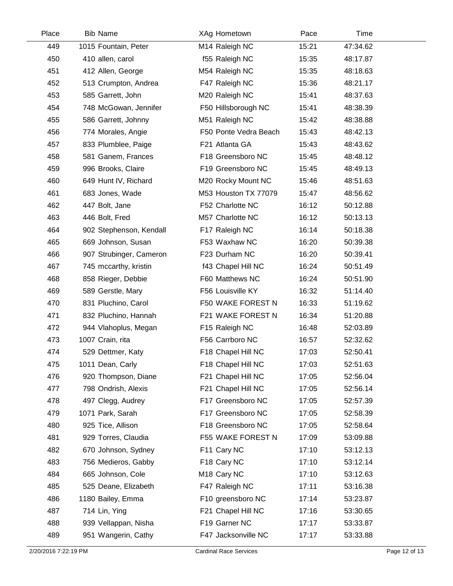| Place | <b>Bib Name</b>         | XAg Hometown            | Pace  | Time     |
|-------|-------------------------|-------------------------|-------|----------|
| 449   | 1015 Fountain, Peter    | M14 Raleigh NC          | 15:21 | 47:34.62 |
| 450   | 410 allen, carol        | f55 Raleigh NC          | 15:35 | 48:17.87 |
| 451   | 412 Allen, George       | M54 Raleigh NC          | 15:35 | 48:18.63 |
| 452   | 513 Crumpton, Andrea    | F47 Raleigh NC          | 15:36 | 48:21.17 |
| 453   | 585 Garrett, John       | M20 Raleigh NC          | 15:41 | 48:37.63 |
| 454   | 748 McGowan, Jennifer   | F50 Hillsborough NC     | 15:41 | 48:38.39 |
| 455   | 586 Garrett, Johnny     | M51 Raleigh NC          | 15:42 | 48:38.88 |
| 456   | 774 Morales, Angie      | F50 Ponte Vedra Beach   | 15:43 | 48:42.13 |
| 457   | 833 Plumblee, Paige     | F21 Atlanta GA          | 15:43 | 48:43.62 |
| 458   | 581 Ganem, Frances      | F18 Greensboro NC       | 15:45 | 48:48.12 |
| 459   | 996 Brooks, Claire      | F19 Greensboro NC       | 15:45 | 48:49.13 |
| 460   | 649 Hunt IV, Richard    | M20 Rocky Mount NC      | 15:46 | 48:51.63 |
| 461   | 683 Jones, Wade         | M53 Houston TX 77079    | 15:47 | 48:56.62 |
| 462   | 447 Bolt, Jane          | F52 Charlotte NC        | 16:12 | 50:12.88 |
| 463   | 446 Bolt, Fred          | M57 Charlotte NC        | 16:12 | 50:13.13 |
| 464   | 902 Stephenson, Kendall | F17 Raleigh NC          | 16:14 | 50:18.38 |
| 465   | 669 Johnson, Susan      | F53 Waxhaw NC           | 16:20 | 50:39.38 |
| 466   | 907 Strubinger, Cameron | F23 Durham NC           | 16:20 | 50:39.41 |
| 467   | 745 mccarthy, kristin   | f43 Chapel Hill NC      | 16:24 | 50:51.49 |
| 468   | 858 Rieger, Debbie      | F60 Matthews NC         | 16:24 | 50:51.90 |
| 469   | 589 Gerstle, Mary       | F56 Louisville KY       | 16:32 | 51:14.40 |
| 470   | 831 Pluchino, Carol     | F50 WAKE FOREST N       | 16:33 | 51:19.62 |
| 471   | 832 Pluchino, Hannah    | F21 WAKE FOREST N       | 16:34 | 51:20.88 |
| 472   | 944 Vlahoplus, Megan    | F15 Raleigh NC          | 16:48 | 52:03.89 |
| 473   | 1007 Crain, rita        | F56 Carrboro NC         | 16:57 | 52:32.62 |
| 474   | 529 Dettmer, Katy       | F18 Chapel Hill NC      | 17:03 | 52:50.41 |
| 475   | 1011 Dean, Carly        | F18 Chapel Hill NC      | 17:03 | 52:51.63 |
| 476   | 920 Thompson, Diane     | F21 Chapel Hill NC      | 17:05 | 52:56.04 |
| 477   | 798 Ondrish, Alexis     | F21 Chapel Hill NC      | 17:05 | 52:56.14 |
| 478   | 497 Clegg, Audrey       | F17 Greensboro NC       | 17:05 | 52:57.39 |
| 479   | 1071 Park, Sarah        | F17 Greensboro NC       | 17:05 | 52:58.39 |
| 480   | 925 Tice, Allison       | F18 Greensboro NC       | 17:05 | 52:58.64 |
| 481   | 929 Torres, Claudia     | F55 WAKE FOREST N       | 17:09 | 53:09.88 |
| 482   | 670 Johnson, Sydney     | F11 Cary NC             | 17:10 | 53:12.13 |
| 483   | 756 Medieros, Gabby     | F18 Cary NC             | 17:10 | 53:12.14 |
| 484   | 665 Johnson, Cole       | M <sub>18</sub> Cary NC | 17:10 | 53:12.63 |
| 485   | 525 Deane, Elizabeth    | F47 Raleigh NC          | 17:11 | 53:16.38 |
| 486   | 1180 Bailey, Emma       | F10 greensboro NC       | 17:14 | 53:23.87 |
| 487   | 714 Lin, Ying           | F21 Chapel Hill NC      | 17:16 | 53:30.65 |
| 488   | 939 Vellappan, Nisha    | F19 Garner NC           | 17:17 | 53:33.87 |
| 489   | 951 Wangerin, Cathy     | F47 Jacksonville NC     | 17:17 | 53:33.88 |